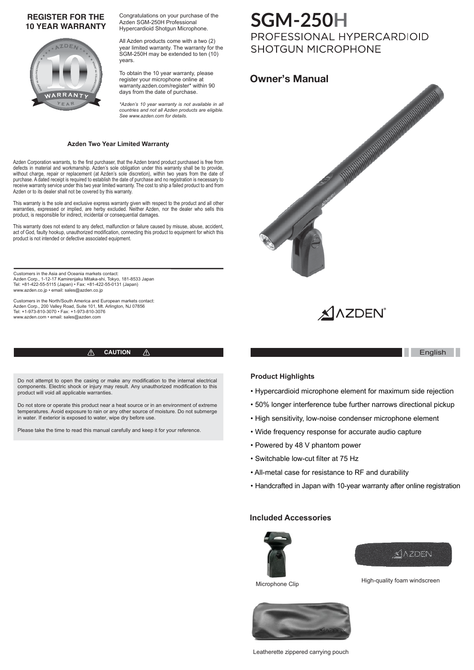### **REGISTER FOR THE 10 YEAR WARRANTY**



Congratulations on your purchase of the Azden SGM-250H Professional Hypercardioid Shotgun Microphone.

All Azden products come with a two (2) year limited warranty. The warranty for the SGM-250H may be extended to ten (10) years.

To obtain the 10 year warranty, please register your microphone online at warranty.azden.com/register\* within 90 days from the date of purchase.

*\*Azden's 10 year warranty is not available in all countries and not all Azden products are eligible. See www.azden.com for details.*

#### **Azden Two Year Limited Warranty**

Azden Corporation warrants, to the first purchaser, that the Azden brand product purchased is free from defects in material and workmanship. Azden's sole obligation under this warranty shall be to provide, without charge, repair or replacement (at Azden's sole discretion), within two years from the date of purchase. A dated receipt is required to establish the date of purchase and no registration is necessary to receive warranty service under this two year limited warranty. The cost to ship a failed product to and from Azden or to its dealer shall not be covered by this warranty.

This warranty is the sole and exclusive express warranty given with respect to the product and all other warranties, expressed or implied, are herby excluded. Neither Azden, nor the dealer who sells this product, is responsible for indirect, incidental or consequential damages.

This warranty does not extend to any defect, malfunction or failure caused by misuse, abuse, accident, act of God, faulty hookup, unauthorized modification, connecting this product to equipment for which this product to equipment for which this product is not intended or defective associated equipment.

Customers in the Asia and Oceania markets contact: Azden Corp., 1-12-17 Kamirenjaku Mitaka-shi, Tokyo, 181-8533 Japan Tel: +81-422-55-5115 (Japan) • Fax: +81-422-55-0131 (Japan) www.azden.co.jp • email: sales@azden.co.jp

Customers in the North/South America and European markets contact:<br>Azden Corp., 200 Valley Road, Suite 101, Mt. Arlington, NJ 07856<br>Tel: +1-973-810-3070 • Fax: +1-973-810-3076 www.azden.com • email: sales@azden.com

#### **CAUTION** English ⚠

Do not attempt to open the casing or make any modification to the internal electrical components. Electric shock or injury may result. Any unauthorized modification to this product will void all applicable warranties.

Do not store or operate this product near a heat source or in an environment of extreme temperatures. Avoid exposure to rain or any other source of moisture. Do not submerge in water. If exterior is exposed to water, wipe dry before use.

Please take the time to read this manual carefully and keep it for your reference.

# **SGM-250H**<br>PROFESSIONAL HYPERCARDIOID **SHOTGUN MICROPHONE**





#### **Product Highlights**

- Hypercardioid microphone element for maximum side rejection
- 50% longer interference tube further narrows directional pickup
- High sensitivity, low-noise condenser microphone element
- Wide frequency response for accurate audio capture
- Powered by 48 V phantom power
- Switchable low-cut filter at 75 Hz
- All-metal case for resistance to RF and durability
- Handcrafted in Japan with 10-year warranty after online registration

#### **Included Accessories**









Leatherette zippered carrying pouch